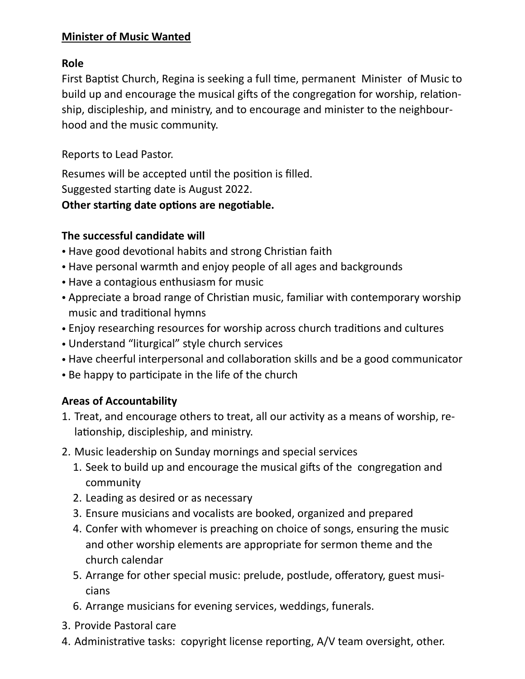#### **Minister of Music Wanted**

#### **Role**

First Baptist Church, Regina is seeking a full time, permanent Minister of Music to build up and encourage the musical gifts of the congregation for worship, relationship, discipleship, and ministry, and to encourage and minister to the neighbourhood and the music community.

Reports to Lead Pastor.

Resumes will be accepted until the position is filled. Suggested starting date is August 2022. **Other starting date options are negotiable.**

#### **The successful candidate will**

- Have good devotional habits and strong Christian faith
- Have personal warmth and enjoy people of all ages and backgrounds
- Have a contagious enthusiasm for music
- Appreciate a broad range of Christian music, familiar with contemporary worship music and traditional hymns
- Enjoy researching resources for worship across church traditions and cultures
- Understand "liturgical" style church services
- Have cheerful interpersonal and collaboration skills and be a good communicator
- Be happy to participate in the life of the church

#### **Areas of Accountability**

- 1. Treat, and encourage others to treat, all our activity as a means of worship, relationship, discipleship, and ministry.
- 2. Music leadership on Sunday mornings and special services
	- 1. Seek to build up and encourage the musical gifts of the congregation and community
	- 2. Leading as desired or as necessary
	- 3. Ensure musicians and vocalists are booked, organized and prepared
	- 4. Confer with whomever is preaching on choice of songs, ensuring the music and other worship elements are appropriate for sermon theme and the church calendar
	- 5. Arrange for other special music: prelude, postlude, offeratory, guest musicians
	- 6. Arrange musicians for evening services, weddings, funerals.
- 3. Provide Pastoral care
- 4. Administrative tasks: copyright license reporting, A/V team oversight, other.